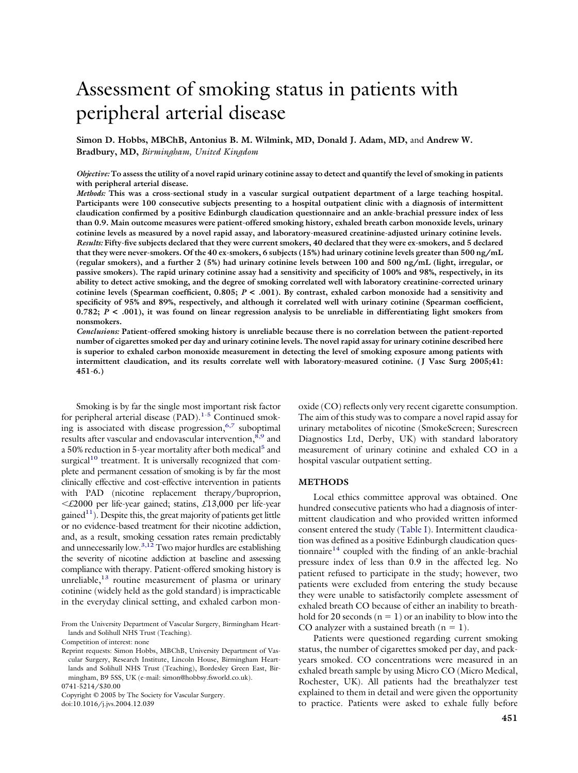# Assessment of smoking status in patients with peripheral arterial disease

**Simon D. Hobbs, MBChB, Antonius B. M. Wilmink, MD, Donald J. Adam, MD,** and **Andrew W. Bradbury, MD,** *Birmingham, United Kingdom*

*Objective:* **To assess the utility of a novel rapid urinary cotinine assay to detect and quantify the level of smoking in patients with peripheral arterial disease.**

*Methods:* **This was a cross-sectional study in a vascular surgical outpatient department of a large teaching hospital. Participants were 100 consecutive subjects presenting to a hospital outpatient clinic with a diagnosis of intermittent claudication confirmed by a positive Edinburgh claudication questionnaire and an ankle-brachial pressure index of less than 0.9. Main outcome measures were patient-offered smoking history, exhaled breath carbon monoxide levels, urinary cotinine levels as measured by a novel rapid assay, and laboratory-measured creatinine-adjusted urinary cotinine levels.** *Results:* **Fifty-five subjects declared that they were current smokers, 40 declared that they were ex-smokers, and 5 declared that they were never-smokers. Of the 40 ex-smokers, 6 subjects (15%) had urinary cotinine levels greater than 500 ng/mL (regular smokers), and a further 2 (5%) had urinary cotinine levels between 100 and 500 ng/mL (light, irregular, or passive smokers). The rapid urinary cotinine assay had a sensitivity and specificity of 100% and 98%, respectively, in its ability to detect active smoking, and the degree of smoking correlated well with laboratory creatinine-corrected urinary cotinine levels (Spearman coefficient, 0.805;** *P* **< .001). By contrast, exhaled carbon monoxide had a sensitivity and specificity of 95% and 89%, respectively, and although it correlated well with urinary cotinine (Spearman coefficient, 0.782;** *P* **< .001), it was found on linear regression analysis to be unreliable in differentiating light smokers from nonsmokers.**

*Conclusions:* **Patient-offered smoking history is unreliable because there is no correlation between the patient-reported number of cigarettes smoked per day and urinary cotinine levels. The novel rapid assay for urinary cotinine described here is superior to exhaled carbon monoxide measurement in detecting the level of smoking exposure among patients with intermittent claudication, and its results correlate well with laboratory-measured cotinine. ( J Vasc Surg 2005;41: 451-6.)**

Smoking is by far the single most important risk factor for peripheral arterial disease  $(PAD)$ .<sup>1-5</sup> Continued smoking is associated with disease progression,  $6,7$  suboptimal results after vascular and endovascular intervention,<sup>8,9</sup> and a 50% reduction in 5-year mortality after both medical<sup>5</sup> and surgical<sup>10</sup> treatment. It is universally recognized that complete and permanent cessation of smoking is by far the most clinically effective and cost-effective intervention in patients with PAD (nicotine replacement therapy/buproprion, £2000 per life-year gained; statins, £13,000 per life-year gained<sup>11</sup>). Despite this, the great majority of patients get little or no evidence-based treatment for their nicotine addiction, and, as a result, smoking cessation rates remain predictably and unnecessarily low.<sup>3,12</sup> Two major hurdles are establishing the severity of nicotine addiction at baseline and assessing compliance with therapy. Patient-offered smoking history is unreliable, $13$  routine measurement of plasma or urinary cotinine (widely held as the gold standard) is impracticable in the everyday clinical setting, and exhaled carbon mon-

Copyright © 2005 by The Society for Vascular Surgery. doi:10.1016/j.jvs.2004.12.039

oxide (CO) reflects only very recent cigarette consumption. The aim of this study was to compare a novel rapid assay for urinary metabolites of nicotine (SmokeScreen; Surescreen Diagnostics Ltd, Derby, UK) with standard laboratory measurement of urinary cotinine and exhaled CO in a hospital vascular outpatient setting.

## **METHODS**

Local ethics committee approval was obtained. One hundred consecutive patients who had a diagnosis of intermittent claudication and who provided written informed consent entered the study [\(Table](#page-1-0) I). Intermittent claudication was defined as a positive Edinburgh claudication questionnaire<sup>14</sup> coupled with the finding of an ankle-brachial pressure index of less than 0.9 in the affected leg. No patient refused to participate in the study; however, two patients were excluded from entering the study because they were unable to satisfactorily complete assessment of exhaled breath CO because of either an inability to breathhold for 20 seconds ( $n = 1$ ) or an inability to blow into the CO analyzer with a sustained breath  $(n = 1)$ .

Patients were questioned regarding current smoking status, the number of cigarettes smoked per day, and packyears smoked. CO concentrations were measured in an exhaled breath sample by using Micro CO (Micro Medical, Rochester, UK). All patients had the breathalyzer test explained to them in detail and were given the opportunity to practice. Patients were asked to exhale fully before

From the University Department of Vascular Surgery, Birmingham Heartlands and Solihull NHS Trust (Teaching).

Competition of interest: none

Reprint requests: Simon Hobbs, MBChB, University Department of Vascular Surgery, Research Institute, Lincoln House, Birmingham Heartlands and Solihull NHS Trust (Teaching), Bordesley Green East, Birmingham, B9 5SS, UK (e-mail: simon@hobbsy.fsworld.co.uk). 0741-5214/\$30.00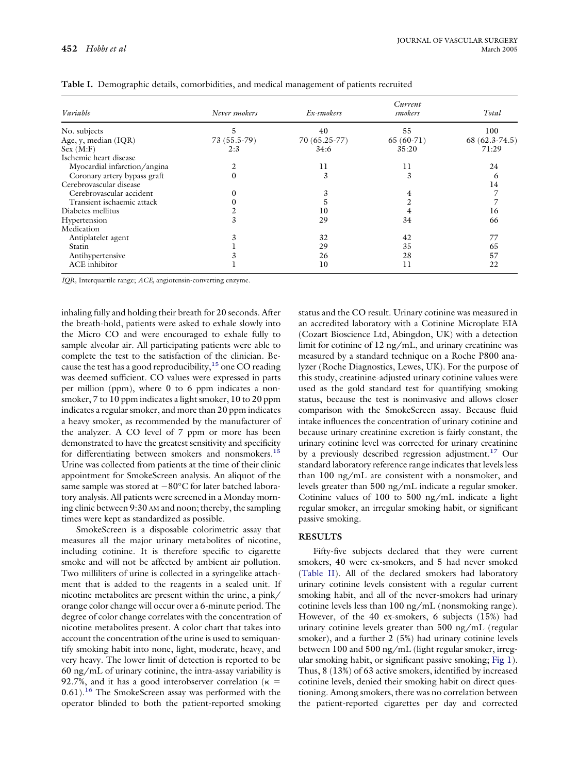| Variable                     | Never smokers | Ex-smokers    | Current<br>smokers | Total           |
|------------------------------|---------------|---------------|--------------------|-----------------|
| No. subjects                 | 5             | 40            | 55                 | 100             |
| Age, $y$ , median $(IQR)$    | 73 (55.5-79)  | 70 (65.25-77) | $65(60-71)$        | $68(62.3-74.5)$ |
| Sex (M:F)                    | 2:3           | 34:6          | 35:20              | 71:29           |
| Ischemic heart disease       |               |               |                    |                 |
| Myocardial infarction/angina | 2             | 11            | 11                 | 24              |
| Coronary artery bypass graft | $\Omega$      | 3             | 3                  | 6               |
| Cerebrovascular disease      |               |               |                    | 14              |
| Cerebrovascular accident     | $\Omega$      | 3             | 4                  |                 |
| Transient ischaemic attack   |               | ה             |                    |                 |
| Diabetes mellitus            |               | 10            | 4                  | 16              |
| Hypertension                 | 3             | 29            | 34                 | 66              |
| Medication                   |               |               |                    |                 |
| Antiplatelet agent           | 3             | 32            | 42                 | 77              |
| Statin                       |               | 29            | 35                 | 65              |
| Antihypertensive             | 3             | 26            | 28                 | 57              |
| ACE inhibitor                |               | 10            | 11                 | 22              |

<span id="page-1-0"></span>**Table I.** Demographic details, comorbidities, and medical management of patients recruited

*IQR,* Interquartile range; *ACE,* angiotensin-converting enzyme.

inhaling fully and holding their breath for 20 seconds. After the breath-hold, patients were asked to exhale slowly into the Micro CO and were encouraged to exhale fully to sample alveolar air. All participating patients were able to complete the test to the satisfaction of the clinician. Because the test has a good reproducibility, $15$  one CO reading was deemed sufficient. CO values were expressed in parts per million (ppm), where 0 to 6 ppm indicates a nonsmoker, 7 to 10 ppm indicates a light smoker, 10 to 20 ppm indicates a regular smoker, and more than 20 ppm indicates a heavy smoker, as recommended by the manufacturer of the analyzer. A CO level of 7 ppm or more has been demonstrated to have the greatest sensitivity and specificity for differentiating between smokers and nonsmokers.<sup>15</sup> Urine was collected from patients at the time of their clinic appointment for SmokeScreen analysis. An aliquot of the same sample was stored at  $-80^{\circ}$ C for later batched laboratory analysis. All patients were screened in a Monday morning clinic between 9:30 AM and noon; thereby, the sampling times were kept as standardized as possible.

SmokeScreen is a disposable colorimetric assay that measures all the major urinary metabolites of nicotine, including cotinine. It is therefore specific to cigarette smoke and will not be affected by ambient air pollution. Two milliliters of urine is collected in a syringelike attachment that is added to the reagents in a sealed unit. If nicotine metabolites are present within the urine, a pink/ orange color change will occur over a 6-minute period. The degree of color change correlates with the concentration of nicotine metabolites present. A color chart that takes into account the concentration of the urine is used to semiquantify smoking habit into none, light, moderate, heavy, and very heavy. The lower limit of detection is reported to be 60 ng/mL of urinary cotinine, the intra-assay variability is 92.7%, and it has a good interobserver correlation ( $\kappa$  = 0.61)[.16](#page-5-0) The SmokeScreen assay was performed with the operator blinded to both the patient-reported smoking

status and the CO result. Urinary cotinine was measured in an accredited laboratory with a Cotinine Microplate EIA (Cozart Bioscience Ltd, Abingdon, UK) with a detection limit for cotinine of 12 ng/mL, and urinary creatinine was measured by a standard technique on a Roche P800 analyzer (Roche Diagnostics, Lewes, UK). For the purpose of this study, creatinine-adjusted urinary cotinine values were used as the gold standard test for quantifying smoking status, because the test is noninvasive and allows closer comparison with the SmokeScreen assay. Because fluid intake influences the concentration of urinary cotinine and because urinary creatinine excretion is fairly constant, the urinary cotinine level was corrected for urinary creatinine by a previously described regression adjustment.<sup>17</sup> Our standard laboratory reference range indicates that levels less than 100 ng/mL are consistent with a nonsmoker, and levels greater than 500 ng/mL indicate a regular smoker. Cotinine values of 100 to 500 ng/mL indicate a light regular smoker, an irregular smoking habit, or significant passive smoking.

## **RESULTS**

Fifty-five subjects declared that they were current smokers, 40 were ex-smokers, and 5 had never smoked [\(Table](#page-2-0) II). All of the declared smokers had laboratory urinary cotinine levels consistent with a regular current smoking habit, and all of the never-smokers had urinary cotinine levels less than 100 ng/mL (nonsmoking range). However, of the 40 ex-smokers, 6 subjects (15%) had urinary cotinine levels greater than 500 ng/mL (regular smoker), and a further 2 (5%) had urinary cotinine levels between 100 and 500 ng/mL (light regular smoker, irregular smoking habit, or significant passive smoking; [Fig](#page-2-0) 1). Thus, 8 (13%) of 63 active smokers, identified by increased cotinine levels, denied their smoking habit on direct questioning. Among smokers, there was no correlation between the patient-reported cigarettes per day and corrected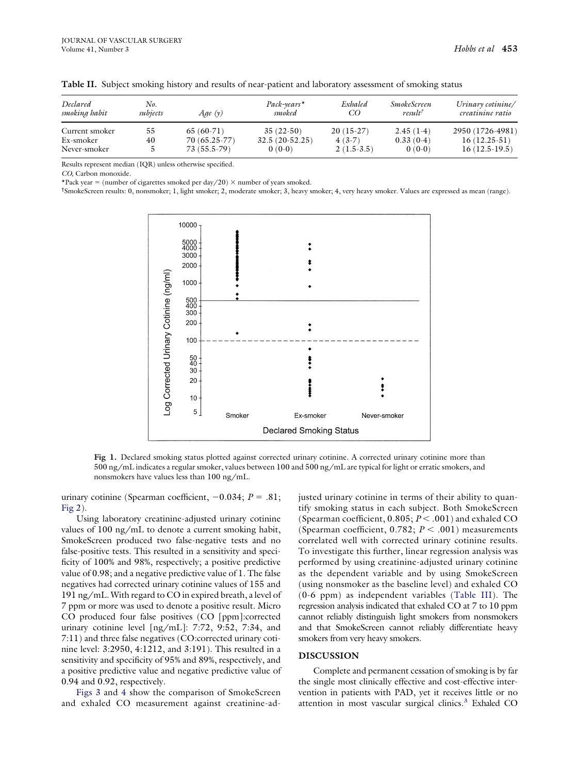| Declared<br>smoking habit | No.<br>subjects | Age(y)         | Pack-years*<br>smoked | Exhaled<br>CO | <b>SmokeScreen</b><br>$result^{\dagger}$ | Urinary cotinine/<br>creatinine ratio |
|---------------------------|-----------------|----------------|-----------------------|---------------|------------------------------------------|---------------------------------------|
| Current smoker            | 55              | $65(60-71)$    | $35(22-50)$           | $20(15-27)$   | $2.45(1-4)$                              | 2950 (1726-4981)                      |
| Ex-smoker                 | 40              | $70(65.25-77)$ | $32.5(20-52.25)$      | $4(3-7)$      | $0.33(0-4)$                              | $16(12.25-51)$                        |
| Never-smoker              |                 | 73 (55.5-79)   | $0(0-0)$              | $2(1.5-3.5)$  | $0(0-0)$                                 | $16(12.5-19.5)$                       |

<span id="page-2-0"></span>**Table II.** Subject smoking history and results of near-patient and laboratory assessment of smoking status

Results represent median (IQR) unless otherwise specified.

*CO,* Carbon monoxide.

\*Pack year = (number of cigarettes smoked per day/20)  $\times$  number of years smoked.

† SmokeScreen results: 0, nonsmoker; 1, light smoker; 2, moderate smoker; 3, heavy smoker; 4, very heavy smoker. Values are expressed as mean (range).



**Fig 1.** Declared smoking status plotted against corrected urinary cotinine. A corrected urinary cotinine more than 500 ng/mL indicates a regular smoker, values between 100 and 500 ng/mL are typical for light or erratic smokers, and nonsmokers have values less than 100 ng/mL.

urinary cotinine (Spearman coefficient,  $-0.034$ ; *P* = .81; [Fig](#page-3-0)  $2$ ).

Using laboratory creatinine-adjusted urinary cotinine values of 100 ng/mL to denote a current smoking habit, SmokeScreen produced two false-negative tests and no false-positive tests. This resulted in a sensitivity and specificity of 100% and 98%, respectively; a positive predictive value of 0.98; and a negative predictive value of 1. The false negatives had corrected urinary cotinine values of 155 and 191 ng/mL. With regard to CO in expired breath, a level of 7 ppm or more was used to denote a positive result. Micro CO produced four false positives (CO [ppm]:corrected urinary cotinine level [ng/mL]: 7:72, 9:52, 7:34, and 7:11) and three false negatives (CO:corrected urinary cotinine level: 3:2950, 4:1212, and 3:191). This resulted in a sensitivity and specificity of 95% and 89%, respectively, and a positive predictive value and negative predictive value of 0.94 and 0.92, respectively.

[Figs](#page-3-0) 3 and [4](#page-4-0) show the comparison of SmokeScreen and exhaled CO measurement against creatinine-adjusted urinary cotinine in terms of their ability to quantify smoking status in each subject. Both SmokeScreen (Spearman coefficient,  $0.805$ ;  $P < .001$ ) and exhaled CO (Spearman coefficient,  $0.782$ ;  $P < .001$ ) measurements correlated well with corrected urinary cotinine results. To investigate this further, linear regression analysis was performed by using creatinine-adjusted urinary cotinine as the dependent variable and by using SmokeScreen (using nonsmoker as the baseline level) and exhaled CO (0-6 ppm) as independent variables [\(Table](#page-4-0) III). The regression analysis indicated that exhaled CO at 7 to 10 ppm cannot reliably distinguish light smokers from nonsmokers and that SmokeScreen cannot reliably differentiate heavy smokers from very heavy smokers.

### **DISCUSSION**

Complete and permanent cessation of smoking is by far the single most clinically effective and cost-effective intervention in patients with PAD, yet it receives little or no attention in most vascular surgical clinics.<sup>3</sup> Exhaled CO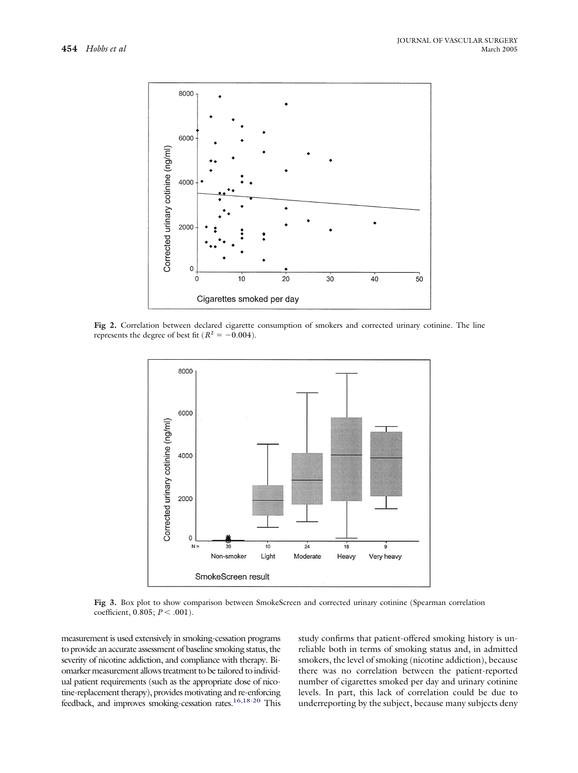<span id="page-3-0"></span>

**Fig 2.** Correlation between declared cigarette consumption of smokers and corrected urinary cotinine. The line represents the degree of best fit ( $R^2 = -0.004$ ).



**Fig 3.** Box plot to show comparison between SmokeScreen and corrected urinary cotinine (Spearman correlation coefficient,  $0.805; P < .001$ ).

measurement is used extensively in smoking-cessation programs to provide an accurate assessment of baseline smoking status, the severity of nicotine addiction, and compliance with therapy. Biomarker measurement allows treatment to be tailored to individual patient requirements (such as the appropriate dose of nicotine-replacement therapy), provides motivating and re-enforcing feedback, and improves smoking-cessation rates[.16,18-20](#page-5-0) This study confirms that patient-offered smoking history is unreliable both in terms of smoking status and, in admitted smokers, the level of smoking (nicotine addiction), because there was no correlation between the patient-reported number of cigarettes smoked per day and urinary cotinine levels. In part, this lack of correlation could be due to underreporting by the subject, because many subjects deny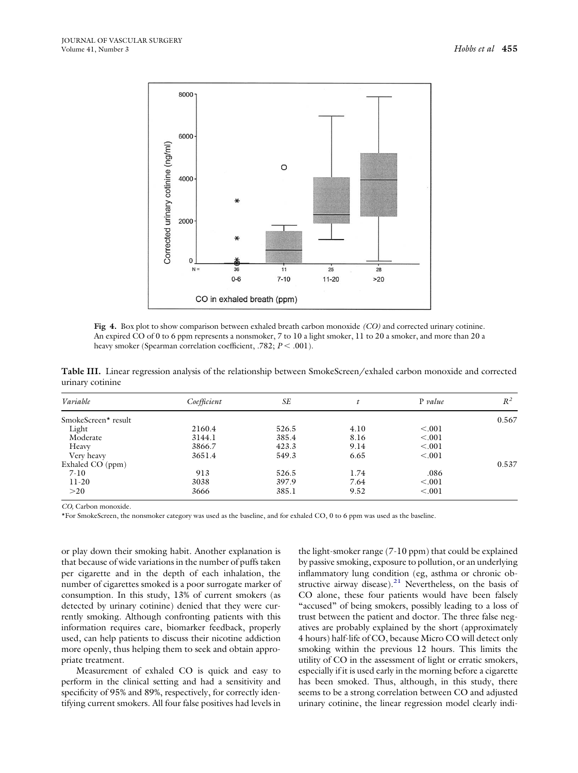<span id="page-4-0"></span>

**Fig 4.** Box plot to show comparison between exhaled breath carbon monoxide *(CO)* and corrected urinary cotinine. An expired CO of 0 to 6 ppm represents a nonsmoker, 7 to 10 a light smoker, 11 to 20 a smoker, and more than 20 a heavy smoker (Spearman correlation coefficient, .782;  $P < .001$ ).

**Table III.** Linear regression analysis of the relationship between SmokeScreen/exhaled carbon monoxide and corrected urinary cotinine

| Variable            | Coefficient | <b>SE</b> | t    | $P$ value | $R^2$ |
|---------------------|-------------|-----------|------|-----------|-------|
| SmokeScreen* result |             |           |      |           | 0.567 |
| Light               | 2160.4      | 526.5     | 4.10 | < 0.001   |       |
| Moderate            | 3144.1      | 385.4     | 8.16 | < 0.001   |       |
| Heavy               | 3866.7      | 423.3     | 9.14 | < 0.001   |       |
| Very heavy          | 3651.4      | 549.3     | 6.65 | < 0.001   |       |
| Exhaled CO (ppm)    |             |           |      |           | 0.537 |
| $7 - 10$            | 913         | 526.5     | 1.74 | .086      |       |
| $11-20$             | 3038        | 397.9     | 7.64 | < 0.001   |       |
| >20                 | 3666        | 385.1     | 9.52 | < 0.001   |       |

*CO,* Carbon monoxide.

\*For SmokeScreen, the nonsmoker category was used as the baseline, and for exhaled CO, 0 to 6 ppm was used as the baseline.

or play down their smoking habit. Another explanation is that because of wide variations in the number of puffs taken per cigarette and in the depth of each inhalation, the number of cigarettes smoked is a poor surrogate marker of consumption. In this study, 13% of current smokers (as detected by urinary cotinine) denied that they were currently smoking. Although confronting patients with this information requires care, biomarker feedback, properly used, can help patients to discuss their nicotine addiction more openly, thus helping them to seek and obtain appropriate treatment.

Measurement of exhaled CO is quick and easy to perform in the clinical setting and had a sensitivity and specificity of 95% and 89%, respectively, for correctly identifying current smokers. All four false positives had levels in the light-smoker range (7-10 ppm) that could be explained by passive smoking, exposure to pollution, or an underlying inflammatory lung condition (eg, asthma or chronic obstructive airway disease). $21$  Nevertheless, on the basis of CO alone, these four patients would have been falsely "accused" of being smokers, possibly leading to a loss of trust between the patient and doctor. The three false negatives are probably explained by the short (approximately 4 hours) half-life of CO, because Micro CO will detect only smoking within the previous 12 hours. This limits the utility of CO in the assessment of light or erratic smokers, especially if it is used early in the morning before a cigarette has been smoked. Thus, although, in this study, there seems to be a strong correlation between CO and adjusted urinary cotinine, the linear regression model clearly indi-